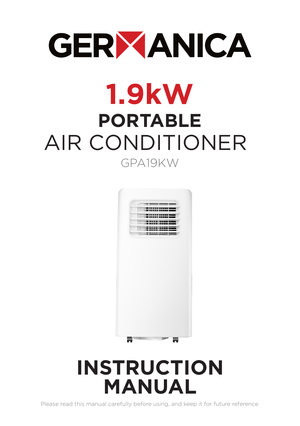# **GERYANICA**

# **1.9kW PORTABLE** AIR CONDITIONER GPA19KW



## **INSTRUCTION MANUAL**

Please read this manual carefully before using, and keep it for future reference.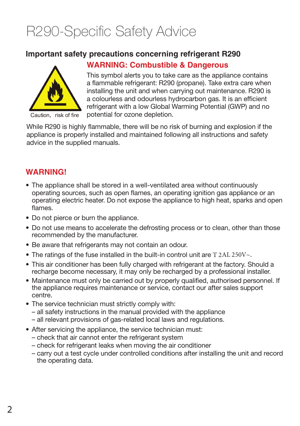### R290-Specific Safety Advice

#### **Important safety precautions concerning refrigerant R290**



Caution, risk of fire

#### **WARNING: Combustible & Dangerous**

This symbol alerts you to take care as the appliance contains a flammable refrigerant: R290 (propane). Take extra care when installing the unit and when carrying out maintenance. R290 is a colourless and odourless hydrocarbon gas. It is an efficient refrigerant with a low Global Warming Potential (GWP) and no potential for ozone depletion.

While R290 is highly flammable, there will be no risk of burning and explosion if the appliance is properly installed and maintained following all instructions and safety advice in the supplied manuals.

#### **WARNING!**

- The appliance shall be stored in a well-ventilated area without continuously operating sources, such as open flames, an operating ignition gas appliance or an operating electric heater. Do not expose the appliance to high heat, sparks and open flames.
- Do not pierce or burn the appliance.
- Do not use means to accelerate the defrosting process or to clean, other than those recommended by the manufacturer.
- Be aware that refrigerants may not contain an odour.
- The ratings of the fuse installed in the built-in control unit are  $T 2AL 250V~\sim$ .
- This air conditioner has been fully charged with refrigerant at the factory. Should a recharge become necessary, it may only be recharged by a professional installer.
- Maintenance must only be carried out by properly qualified, authorised personnel. If the appliance requires maintenance or service, contact our after sales support centre.
- The service technician must strictly comply with:
	- all safety instructions in the manual provided with the appliance
	- all relevant provisions of gas-related local laws and regulations.
- After servicing the appliance, the service technician must:
	- check that air cannot enter the refrigerant system
	- check for refrigerant leaks when moving the air conditioner
	- carry out a test cycle under controlled conditions after installing the unit and record the operating data.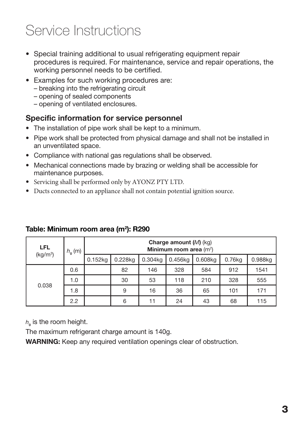### Service Instructions

- Special training additional to usual refrigerating equipment repair procedures is required. For maintenance, service and repair operations, the working personnel needs to be certified.
- Examples for such working procedures are:
	- breaking into the refrigerating circuit
	- opening of sealed components
	- opening of ventilated enclosures.

#### Specific information for service personnel

- The installation of pipe work shall be kept to a minimum.
- Pipe work shall be protected from physical damage and shall not be installed in an unventilated space.
- Compliance with national gas regulations shall be observed.
- Mechanical connections made by brazing or welding shall be accessible for maintenance purposes.
- Servicing shall be performed only by AYONZ PTY LTD.
- Ducts connected to an appliance shall not contain potential ignition source.

| <b>LFL</b><br>(kg/m <sup>3</sup> ) | $h_{0}$ (m) | Charge amount $(M)$ (kg)<br>Minimum room area $(m^2)$ |         |         |         |         |        |         |
|------------------------------------|-------------|-------------------------------------------------------|---------|---------|---------|---------|--------|---------|
|                                    |             | 0.152kg                                               | 0.228kg | 0.304kg | 0.456kg | 0.608kg | 0.76kg | 0.988kg |
| 0.038                              | 0.6         |                                                       | 82      | 146     | 328     | 584     | 912    | 1541    |
|                                    | 1.0         |                                                       | 30      | 53      | 118     | 210     | 328    | 555     |
|                                    | 1.8         |                                                       | 9       | 16      | 36      | 65      | 101    | 171     |
|                                    | 2.2         |                                                       | 6       | 11      | 24      | 43      | 68     | 115     |

#### Table: Minimum room area (m<sup>2</sup>): R290

 $h_{\text{o}}$  is the room height.

The maximum refrigerant charge amount is 140g.

WARNING: Keep any required ventilation openings clear of obstruction.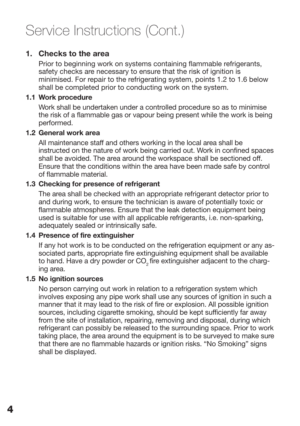#### 1. Checks to the area

Prior to beginning work on systems containing flammable refrigerants. safety checks are necessary to ensure that the risk of ignition is minimised. For repair to the refrigerating system, points 1.2 to 1.6 below shall be completed prior to conducting work on the system.

#### 1.1 Work procedure

Work shall be undertaken under a controlled procedure so as to minimise the risk of a flammable gas or vapour being present while the work is being performed.

#### 1.2 General work area

All maintenance staff and others working in the local area shall be instructed on the nature of work being carried out. Work in confined spaces shall be avoided. The area around the workspace shall be sectioned off. Ensure that the conditions within the area have been made safe by control of flammable material.

#### 1.3 Checking for presence of refrigerant

The area shall be checked with an appropriate refrigerant detector prior to and during work, to ensure the technician is aware of potentially toxic or flammable atmospheres. Ensure that the leak detection equipment being used is suitable for use with all applicable refrigerants, i.e. non-sparking, adequately sealed or intrinsically safe.

#### 1.4 Presence of fire extinguisher

If any hot work is to be conducted on the refrigeration equipment or any associated parts, appropriate fire extinguishing equipment shall be available to hand. Have a dry powder or CO<sub>2</sub> fire extinguisher adjacent to the charging area.

#### 1.5 No ignition sources

No person carrying out work in relation to a refrigeration system which involves exposing any pipe work shall use any sources of ignition in such a manner that it may lead to the risk of fire or explosion. All possible ignition sources, including cigarette smoking, should be kept sufficiently far away from the site of installation, repairing, removing and disposal, during which refrigerant can possibly be released to the surrounding space. Prior to work taking place, the area around the equipment is to be surveyed to make sure that there are no flammable hazards or ignition risks. "No Smoking" signs shall be displayed.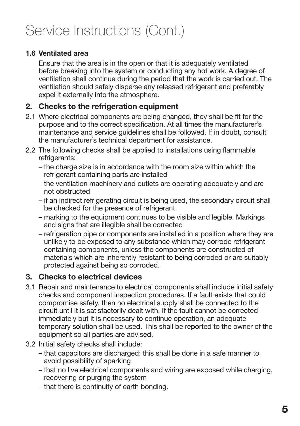#### 1.6 Ventilated area

Ensure that the area is in the open or that it is adequately ventilated before breaking into the system or conducting any hot work. A degree of ventilation shall continue during the period that the work is carried out. The ventilation should safely disperse any released refrigerant and preferably expel it externally into the atmosphere.

#### 2. Checks to the refrigeration equipment

- 2.1 Where electrical components are being changed, they shall be fit for the purpose and to the correct specification. At all times the manufacturer's maintenance and service guidelines shall be followed. If in doubt, consult the manufacturer's technical department for assistance.
- 2.2 The following checks shall be applied to installations using flammable refrigerants:
	- the charge size is in accordance with the room size within which the refrigerant containing parts are installed
	- the ventilation machinery and outlets are operating adequately and are not obstructed
	- if an indirect refrigerating circuit is being used, the secondary circuit shall be checked for the presence of refrigerant
	- marking to the equipment continues to be visible and legible. Markings and signs that are illegible shall be corrected
	- refrigeration pipe or components are installed in a position where they are unlikely to be exposed to any substance which may corrode refrigerant containing components, unless the components are constructed of materials which are inherently resistant to being corroded or are suitably protected against being so corroded.

#### 3. Checks to electrical devices

- 3.1 Repair and maintenance to electrical components shall include initial safety checks and component inspection procedures. If a fault exists that could compromise safety, then no electrical supply shall be connected to the circuit until it is satisfactorily dealt with. If the fault cannot be corrected immediately but it is necessary to continue operation, an adequate temporary solution shall be used. This shall be reported to the owner of the equipment so all parties are advised.
- 3.2 Initial safety checks shall include:
	- that capacitors are discharged: this shall be done in a safe manner to avoid possibility of sparking
	- that no live electrical components and wiring are exposed while charging, recovering or purging the system
	- that there is continuity of earth bonding.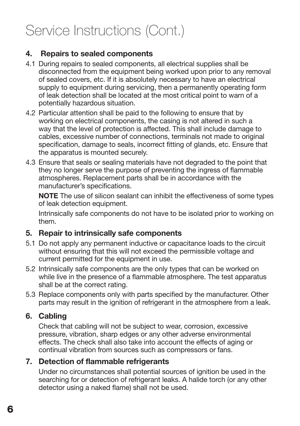#### 4. Repairs to sealed components

- 4.1 During repairs to sealed components, all electrical supplies shall be disconnected from the equipment being worked upon prior to any removal of sealed covers, etc. If it is absolutely necessary to have an electrical supply to equipment during servicing, then a permanently operating form of leak detection shall be located at the most critical point to warn of a potentially hazardous situation.
- 4.2 Particular attention shall be paid to the following to ensure that by working on electrical components, the casing is not altered in such a way that the level of protection is affected. This shall include damage to cables, excessive number of connections, terminals not made to original specification, damage to seals, incorrect fitting of glands, etc. Ensure that the apparatus is mounted securely.
- 4.3 Ensure that seals or sealing materials have not degraded to the point that they no longer serve the purpose of preventing the ingress of flammable atmospheres. Replacement parts shall be in accordance with the manufacturer's specifications.

NOTE The use of silicon sealant can inhibit the effectiveness of some types of leak detection equipment.

Intrinsically safe components do not have to be isolated prior to working on them.

#### 5. Repair to intrinsically safe components

- 5.1 Do not apply any permanent inductive or capacitance loads to the circuit without ensuring that this will not exceed the permissible voltage and current permitted for the equipment in use.
- 5.2 Intrinsically safe components are the only types that can be worked on while live in the presence of a flammable atmosphere. The test apparatus shall be at the correct rating.
- 5.3 Replace components only with parts specified by the manufacturer. Other parts may result in the ignition of refrigerant in the atmosphere from a leak.

#### 6. Cabling

Check that cabling will not be subject to wear, corrosion, excessive pressure, vibration, sharp edges or any other adverse environmental effects. The check shall also take into account the effects of aging or continual vibration from sources such as compressors or fans.

#### 7. Detection of flammable refrigerants

Under no circumstances shall potential sources of ignition be used in the searching for or detection of refrigerant leaks. A halide torch (or any other detector using a naked flame) shall not be used.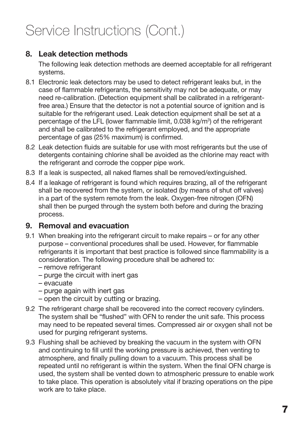#### 8. Leak detection methods

The following leak detection methods are deemed acceptable for all refrigerant systems.

- 8.1 Electronic leak detectors may be used to detect refrigerant leaks but, in the case of flammable refrigerants, the sensitivity may not be adequate, or may need re-calibration. (Detection equipment shall be calibrated in a refrigerantfree area.) Ensure that the detector is not a potential source of ignition and is suitable for the refrigerant used. Leak detection equipment shall be set at a percentage of the LFL (lower flammable limit, 0.038 kg/m<sup>3</sup>) of the refrigerant and shall be calibrated to the refrigerant employed, and the appropriate percentage of gas (25% maximum) is confirmed.
- 8.2 Leak detection fluids are suitable for use with most refrigerants but the use of detergents containing chlorine shall be avoided as the chlorine may react with the refrigerant and corrode the copper pipe work.
- 8.3 If a leak is suspected, all naked flames shall be removed/extinguished.
- 8.4 If a leakage of refrigerant is found which requires brazing, all of the refrigerant shall be recovered from the system, or isolated (by means of shut off valves) in a part of the system remote from the leak. Oxygen-free nitrogen (OFN) shall then be purged through the system both before and during the brazing process.

#### 9. Removal and evacuation

- 9.1 When breaking into the refrigerant circuit to make repairs or for any other purpose – conventional procedures shall be used. However, for flammable refrigerants it is important that best practice is followed since flammability is a consideration. The following procedure shall be adhered to:
	- remove refrigerant
	- purge the circuit with inert gas
	- evacuate
	- purge again with inert gas
	- open the circuit by cutting or brazing.
- 9.2 The refrigerant charge shall be recovered into the correct recovery cylinders. The system shall be "flushed" with OFN to render the unit safe. This process may need to be repeated several times. Compressed air or oxygen shall not be used for purging refrigerant systems.
- 9.3 Flushing shall be achieved by breaking the vacuum in the system with OFN and continuing to fill until the working pressure is achieved, then venting to atmosphere, and finally pulling down to a vacuum. This process shall be repeated until no refrigerant is within the system. When the final OFN charge is used, the system shall be vented down to atmospheric pressure to enable work to take place. This operation is absolutely vital if brazing operations on the pipe work are to take place.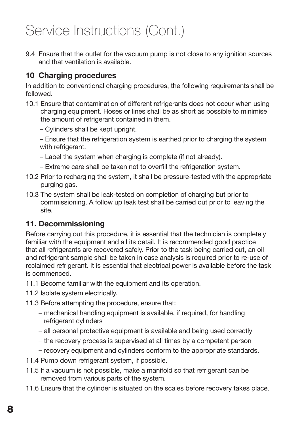9.4 Ensure that the outlet for the vacuum pump is not close to any ignition sources and that ventilation is available.

#### 10 Charging procedures

In addition to conventional charging procedures, the following requirements shall be followed.

- 10.1 Ensure that contamination of different refrigerants does not occur when using charging equipment. Hoses or lines shall be as short as possible to minimise the amount of refrigerant contained in them.
	- Cylinders shall be kept upright.

– Ensure that the refrigeration system is earthed prior to charging the system with refrigerant.

- Label the system when charging is complete (if not already).
- Extreme care shall be taken not to overfill the refrigeration system.
- 10.2 Prior to recharging the system, it shall be pressure-tested with the appropriate purging gas.
- 10.3 The system shall be leak-tested on completion of charging but prior to commissioning. A follow up leak test shall be carried out prior to leaving the site.

#### 11. Decommissioning

Before carrying out this procedure, it is essential that the technician is completely familiar with the equipment and all its detail. It is recommended good practice that all refrigerants are recovered safely. Prior to the task being carried out, an oil and refrigerant sample shall be taken in case analysis is required prior to re-use of reclaimed refrigerant. It is essential that electrical power is available before the task is commenced.

- 11.1 Become familiar with the equipment and its operation.
- 11.2 Isolate system electrically.
- 11.3 Before attempting the procedure, ensure that:
	- mechanical handling equipment is available, if required, for handling refrigerant cylinders
	- all personal protective equipment is available and being used correctly
	- the recovery process is supervised at all times by a competent person
	- recovery equipment and cylinders conform to the appropriate standards.
- 11.4 Pump down refrigerant system, if possible.
- 11.5 If a vacuum is not possible, make a manifold so that refrigerant can be removed from various parts of the system.
- 11.6 Ensure that the cylinder is situated on the scales before recovery takes place.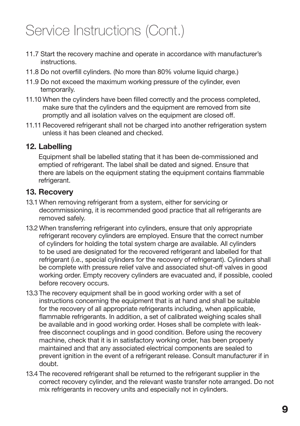- 11.7 Start the recovery machine and operate in accordance with manufacturer's instructions.
- 11.8 Do not overfill cylinders. (No more than 80% volume liquid charge.)
- 11.9 Do not exceed the maximum working pressure of the cylinder, even temporarily.
- 11.10 When the cylinders have been filled correctly and the process completed, make sure that the cylinders and the equipment are removed from site promptly and all isolation valves on the equipment are closed off.
- 11.11 Recovered refrigerant shall not be charged into another refrigeration system unless it has been cleaned and checked.

#### 12. Labelling

Equipment shall be labelled stating that it has been de-commissioned and emptied of refrigerant. The label shall be dated and signed. Ensure that there are labels on the equipment stating the equipment contains flammable refrigerant.

#### 13. Recovery

- 13.1 When removing refrigerant from a system, either for servicing or decommissioning, it is recommended good practice that all refrigerants are removed safely.
- 13.2 When transferring refrigerant into cylinders, ensure that only appropriate refrigerant recovery cylinders are employed. Ensure that the correct number of cylinders for holding the total system charge are available. All cylinders to be used are designated for the recovered refrigerant and labelled for that refrigerant (i.e., special cylinders for the recovery of refrigerant). Cylinders shall be complete with pressure relief valve and associated shut-off valves in good working order. Empty recovery cylinders are evacuated and, if possible, cooled before recovery occurs.
- 13.3 The recovery equipment shall be in good working order with a set of instructions concerning the equipment that is at hand and shall be suitable for the recovery of all appropriate refrigerants including, when applicable, flammable refrigerants. In addition, a set of calibrated weighing scales shall be available and in good working order. Hoses shall be complete with leakfree disconnect couplings and in good condition. Before using the recovery machine, check that it is in satisfactory working order, has been properly maintained and that any associated electrical components are sealed to prevent ignition in the event of a refrigerant release. Consult manufacturer if in doubt.
- 13.4 The recovered refrigerant shall be returned to the refrigerant supplier in the correct recovery cylinder, and the relevant waste transfer note arranged. Do not mix refrigerants in recovery units and especially not in cylinders.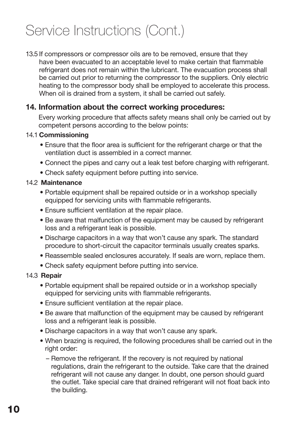13.5 If compressors or compressor oils are to be removed, ensure that they have been evacuated to an acceptable level to make certain that flammable refrigerant does not remain within the lubricant. The evacuation process shall be carried out prior to returning the compressor to the suppliers. Only electric heating to the compressor body shall be employed to accelerate this process. When oil is drained from a system, it shall be carried out safely.

#### 14. Information about the correct working procedures:

Every working procedure that affects safety means shall only be carried out by competent persons according to the below points:

#### 14.1 Commissioning

- Ensure that the floor area is sufficient for the refrigerant charge or that the ventilation duct is assembled in a correct manner.
- Connect the pipes and carry out a leak test before charging with refrigerant.
- Check safety equipment before putting into service.

#### 14.2 Maintenance

- Portable equipment shall be repaired outside or in a workshop specially equipped for servicing units with flammable refrigerants.
- Ensure sufficient ventilation at the repair place.
- Be aware that malfunction of the equipment may be caused by refrigerant loss and a refrigerant leak is possible.
- Discharge capacitors in a way that won't cause any spark. The standard procedure to short-circuit the capacitor terminals usually creates sparks.
- Reassemble sealed enclosures accurately. If seals are worn, replace them.
- Check safety equipment before putting into service.

#### 14.3 Repair

- Portable equipment shall be repaired outside or in a workshop specially equipped for servicing units with flammable refrigerants.
- Ensure sufficient ventilation at the repair place.
- Be aware that malfunction of the equipment may be caused by refrigerant loss and a refrigerant leak is possible.
- Discharge capacitors in a way that won't cause any spark.
- When brazing is required, the following procedures shall be carried out in the right order:
	- Remove the refrigerant. If the recovery is not required by national regulations, drain the refrigerant to the outside. Take care that the drained refrigerant will not cause any danger. In doubt, one person should guard the outlet. Take special care that drained refrigerant will not float back into the building.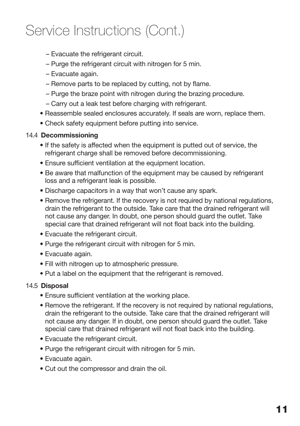- Evacuate the refrigerant circuit.
- Purge the refrigerant circuit with nitrogen for 5 min.
- Evacuate again.
- Remove parts to be replaced by cutting, not by flame.
- Purge the braze point with nitrogen during the brazing procedure.
- Carry out a leak test before charging with refrigerant.
- Reassemble sealed enclosures accurately. If seals are worn, replace them.
- Check safety equipment before putting into service.

#### 14.4 Decommissioning

- If the safety is affected when the equipment is putted out of service, the refrigerant charge shall be removed before decommissioning.
- Ensure sufficient ventilation at the equipment location.
- Be aware that malfunction of the equipment may be caused by refrigerant loss and a refrigerant leak is possible.
- Discharge capacitors in a way that won't cause any spark.
- Remove the refrigerant. If the recovery is not required by national regulations, drain the refrigerant to the outside. Take care that the drained refrigerant will not cause any danger. In doubt, one person should guard the outlet. Take special care that drained refrigerant will not float back into the building.
- Evacuate the refrigerant circuit.
- Purge the refrigerant circuit with nitrogen for 5 min.
- Evacuate again.
- Fill with nitrogen up to atmospheric pressure.
- Put a label on the equipment that the refrigerant is removed.

#### 14.5 Disposal

- Ensure sufficient ventilation at the working place.
- Remove the refrigerant. If the recovery is not required by national regulations, drain the refrigerant to the outside. Take care that the drained refrigerant will not cause any danger. If in doubt, one person should guard the outlet. Take special care that drained refrigerant will not float back into the building.
- Evacuate the refrigerant circuit.
- Purge the refrigerant circuit with nitrogen for 5 min.
- Evacuate again.
- Cut out the compressor and drain the oil.